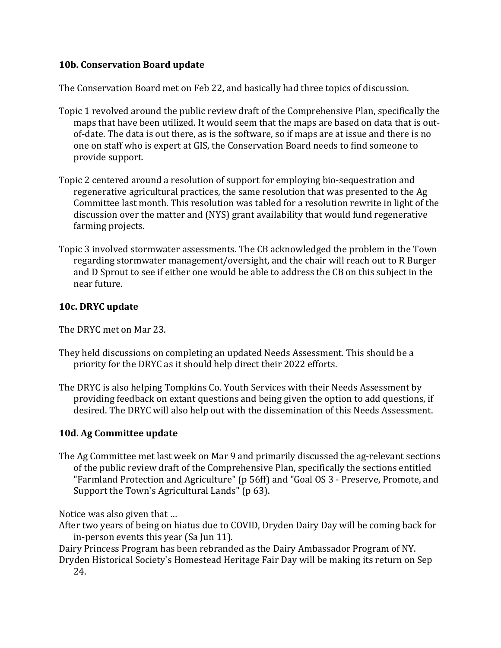## **10b. Conservation Board update**

The Conservation Board met on Feb 22, and basically had three topics of discussion.

- Topic 1 revolved around the public review draft of the Comprehensive Plan, specifically the maps that have been utilized. It would seem that the maps are based on data that is outof-date. The data is out there, as is the software, so if maps are at issue and there is no one on staff who is expert at GIS, the Conservation Board needs to find someone to provide support.
- Topic 2 centered around a resolution of support for employing bio-sequestration and regenerative agricultural practices, the same resolution that was presented to the Ag Committee last month. This resolution was tabled for a resolution rewrite in light of the discussion over the matter and (NYS) grant availability that would fund regenerative farming projects.
- Topic 3 involved stormwater assessments. The CB acknowledged the problem in the Town regarding stormwater management/oversight, and the chair will reach out to R Burger and D Sprout to see if either one would be able to address the CB on this subject in the near future.

## **10c. DRYC update**

The DRYC met on Mar 23.

- They held discussions on completing an updated Needs Assessment. This should be a priority for the DRYC as it should help direct their 2022 efforts.
- The DRYC is also helping Tompkins Co. Youth Services with their Needs Assessment by providing feedback on extant questions and being given the option to add questions, if desired. The DRYC will also help out with the dissemination of this Needs Assessment.

## **10d. Ag Committee update**

The Ag Committee met last week on Mar 9 and primarily discussed the ag-relevant sections of the public review draft of the Comprehensive Plan, specifically the sections entitled "Farmland Protection and Agriculture" (p 56ff) and "Goal OS 3 - Preserve, Promote, and Support the Town's Agricultural Lands" (p 63).

Notice was also given that …

After two years of being on hiatus due to COVID, Dryden Dairy Day will be coming back for in-person events this year (Sa Jun 11).

Dairy Princess Program has been rebranded as the Dairy Ambassador Program of NY.

Dryden Historical Society's Homestead Heritage Fair Day will be making its return on Sep 24.